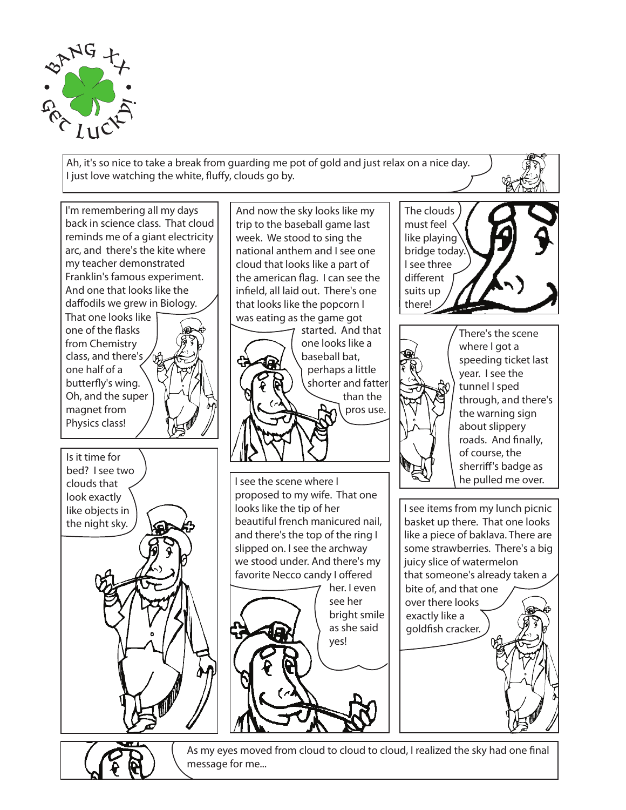

Ah, it's so nice to take a break from guarding me pot of gold and just relax on a nice day. I just love watching the white, fluffy, clouds go by.



As my eyes moved from cloud to cloud to cloud, I realized the sky had one final message for me...